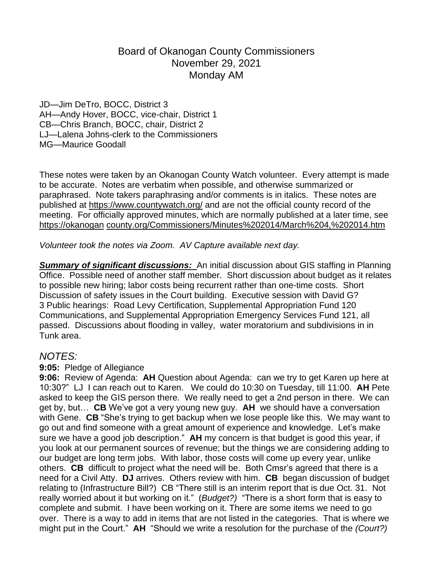## Board of Okanogan County Commissioners November 29, 2021 Monday AM

JD—Jim DeTro, BOCC, District 3 AH—Andy Hover, BOCC, vice-chair, District 1 CB—Chris Branch, BOCC, chair, District 2 LJ—Lalena Johns-clerk to the Commissioners MG—Maurice Goodall

These notes were taken by an Okanogan County Watch volunteer. Every attempt is made to be accurate. Notes are verbatim when possible, and otherwise summarized or paraphrased. Note takers paraphrasing and/or comments is in italics. These notes are published at <https://www.countywatch.org/> and are not the official county record of the meeting. For officially approved minutes, which are normally published at a later time, see [https://okanogan](https://okanogan/) [county.org/Commissioners/Minutes%202014/March%204,%202014.htm](http://county.org/Commissioners/Minutes%252525202014/March%252525204,%252525202014.htm)

*Volunteer took the notes via Zoom. AV Capture available next day.*

*Summary of significant discussions:* An initial discussion about GIS staffing in Planning Office. Possible need of another staff member. Short discussion about budget as it relates to possible new hiring; labor costs being recurrent rather than one-time costs. Short Discussion of safety issues in the Court building. Executive session with David G? 3 Public hearings: Road Levy Certification, Supplemental Appropriation Fund 120 Communications, and Supplemental Appropriation Emergency Services Fund 121, all passed. Discussions about flooding in valley, water moratorium and subdivisions in in Tunk area.

## *NOTES:*

## **9:05:**Pledge of Allegiance

**9:06:** Review of Agenda: **AH** Question about Agenda: can we try to get Karen up here at 10:30?" LJ I can reach out to Karen. We could do 10:30 on Tuesday, till 11:00. **AH** Pete asked to keep the GIS person there. We really need to get a 2nd person in there. We can get by, but… **CB** We've got a very young new guy. **AH** we should have a conversation with Gene. **CB** "She's trying to get backup when we lose people like this. We may want to go out and find someone with a great amount of experience and knowledge. Let's make sure we have a good job description." **AH** my concern is that budget is good this year, if you look at our permanent sources of revenue; but the things we are considering adding to our budget are long term jobs. With labor, those costs will come up every year, unlike others. **CB** difficult to project what the need will be. Both Cmsr's agreed that there is a need for a Civil Atty. **DJ** arrives. Others review with him. **CB** began discussion of budget relating to (Infrastructure Bill?) CB "There still is an interim report that is due Oct. 31. Not really worried about it but working on it." (*Budget?)* "There is a short form that is easy to complete and submit. I have been working on it. There are some items we need to go over. There is a way to add in items that are not listed in the categories. That is where we might put in the Court." **AH** "Should we write a resolution for the purchase of the *(Court?)*